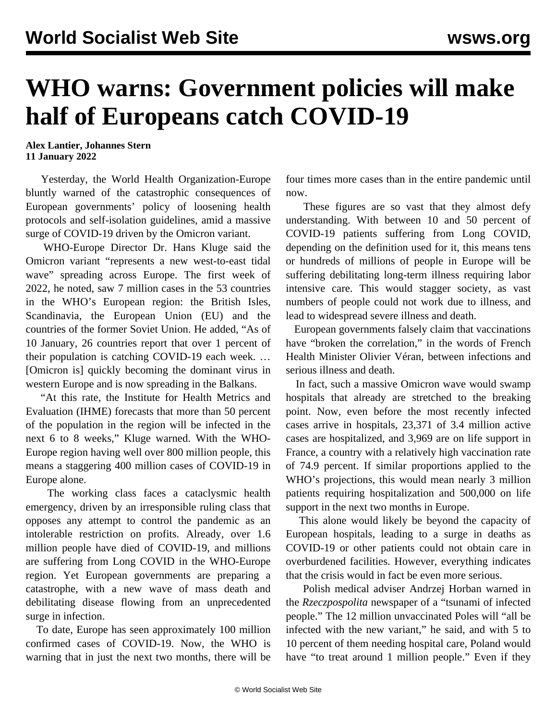## **WHO warns: Government policies will make half of Europeans catch COVID-19**

**Alex Lantier, Johannes Stern 11 January 2022**

 Yesterday, the World Health Organization-Europe bluntly warned of the catastrophic consequences of European governments' policy of loosening health protocols and self-isolation guidelines, amid a massive surge of COVID-19 driven by the Omicron variant.

 WHO-Europe Director Dr. Hans Kluge said the Omicron variant "represents a new west-to-east tidal wave" spreading across Europe. The first week of 2022, he noted, saw 7 million cases in the 53 countries in the WHO's European region: the British Isles, Scandinavia, the European Union (EU) and the countries of the former Soviet Union. He added, "As of 10 January, 26 countries report that over 1 percent of their population is catching COVID-19 each week. … [Omicron is] quickly becoming the dominant virus in western Europe and is now spreading in the Balkans.

 "At this rate, the Institute for Health Metrics and Evaluation (IHME) forecasts that more than 50 percent of the population in the region will be infected in the next 6 to 8 weeks," Kluge warned. With the WHO-Europe region having well over 800 million people, this means a staggering 400 million cases of COVID-19 in Europe alone.

 The working class faces a cataclysmic health emergency, driven by an irresponsible ruling class that opposes any attempt to control the pandemic as an intolerable restriction on profits. Already, over 1.6 million people have died of COVID-19, and millions are suffering from Long COVID in the WHO-Europe region. Yet European governments are preparing a catastrophe, with a new wave of mass death and debilitating disease flowing from an unprecedented surge in infection.

 To date, Europe has seen approximately 100 million confirmed cases of COVID-19. Now, the WHO is warning that in just the next two months, there will be four times more cases than in the entire pandemic until now.

 These figures are so vast that they almost defy understanding. With between 10 and 50 percent of COVID-19 patients suffering from Long COVID, depending on the definition used for it, this means tens or hundreds of millions of people in Europe will be suffering debilitating long-term illness requiring labor intensive care. This would stagger society, as vast numbers of people could not work due to illness, and lead to widespread severe illness and death.

 European governments falsely claim that vaccinations have "broken the correlation," in the words of French Health Minister Olivier Véran, between infections and serious illness and death.

 In fact, such a massive Omicron wave would swamp hospitals that already are stretched to the breaking point. Now, even before the most recently infected cases arrive in hospitals, 23,371 of 3.4 million active cases are hospitalized, and 3,969 are on life support in France, a country with a relatively high vaccination rate of 74.9 percent. If similar proportions applied to the WHO's projections, this would mean nearly 3 million patients requiring hospitalization and 500,000 on life support in the next two months in Europe.

 This alone would likely be beyond the capacity of European hospitals, leading to a surge in deaths as COVID-19 or other patients could not obtain care in overburdened facilities. However, everything indicates that the crisis would in fact be even more serious.

 Polish medical adviser Andrzej Horban warned in the *Rzeczpospolita* newspaper of a "tsunami of infected people." The 12 million unvaccinated Poles will "all be infected with the new variant," he said, and with 5 to 10 percent of them needing hospital care, Poland would have "to treat around 1 million people." Even if they